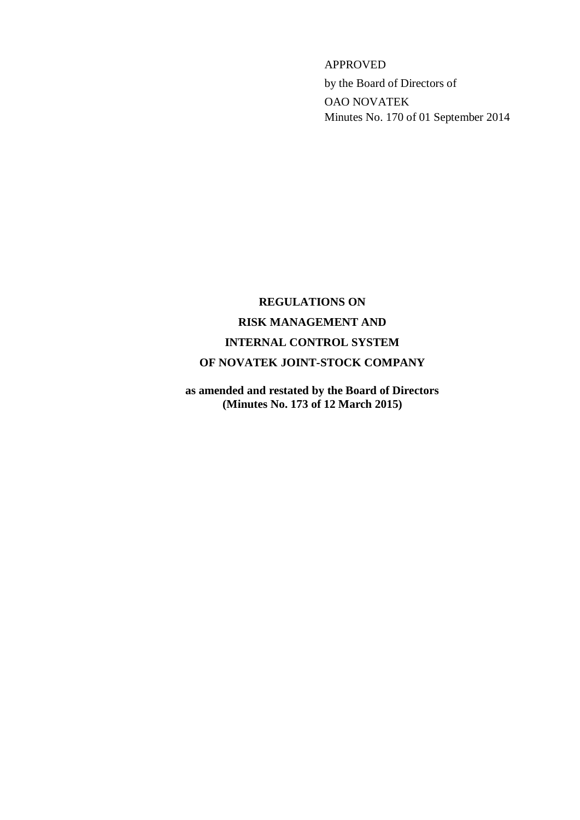APPROVED by the Board of Directors of OAO NOVATEK Minutes No. 170 of 01 September 2014

# **REGULATIONS ON RISK MANAGEMENT AND INTERNAL CONTROL SYSTEM OF NOVATEK JOINT-STOCK COMPANY**

**as amended and restated by the Board of Directors (Minutes No. 173 of 12 March 2015)**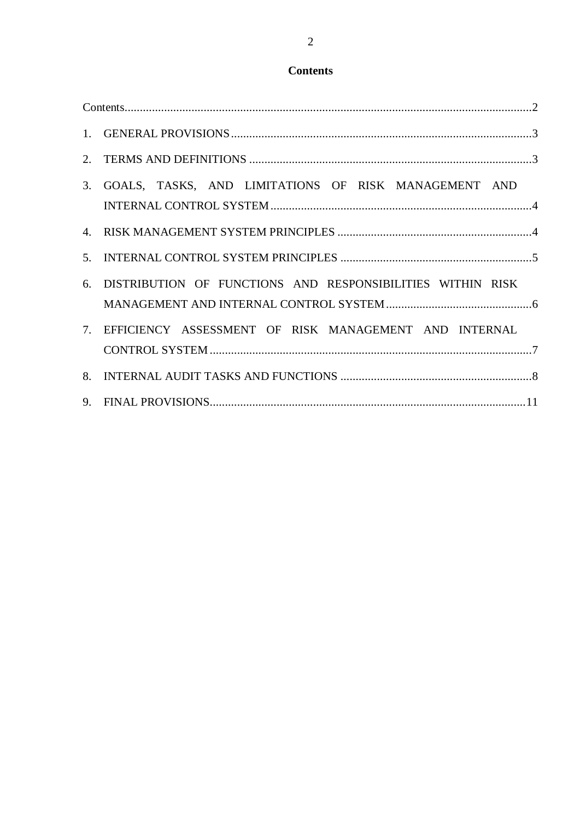## **Contents**

<span id="page-1-0"></span>

| 3. GOALS, TASKS, AND LIMITATIONS OF RISK MANAGEMENT AND       |  |
|---------------------------------------------------------------|--|
|                                                               |  |
|                                                               |  |
| 6. DISTRIBUTION OF FUNCTIONS AND RESPONSIBILITIES WITHIN RISK |  |
| 7. EFFICIENCY ASSESSMENT OF RISK MANAGEMENT AND INTERNAL      |  |
|                                                               |  |
|                                                               |  |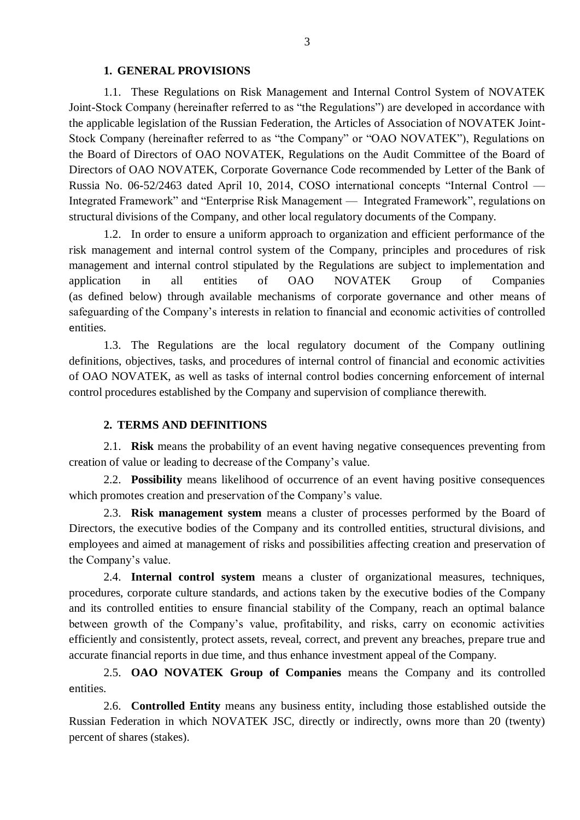## **1. GENERAL PROVISIONS**

<span id="page-2-0"></span>1.1. These Regulations on Risk Management and Internal Control System of NOVATEK Joint-Stock Company (hereinafter referred to as "the Regulations") are developed in accordance with the applicable legislation of the Russian Federation, the Articles of Association of NOVATEK Joint-Stock Company (hereinafter referred to as "the Company" or "OAO NOVATEK"), Regulations on the Board of Directors of OAO NOVATEK, Regulations on the Audit Committee of the Board of Directors of OAO NOVATEK, Corporate Governance Code recommended by Letter of the Bank of Russia No. 06-52/2463 dated April 10, 2014, COSO international concepts "Internal Control — Integrated Framework" and "Enterprise Risk Management — Integrated Framework", regulations on structural divisions of the Company, and other local regulatory documents of the Company.

1.2. In order to ensure a uniform approach to organization and efficient performance of the risk management and internal control system of the Company, principles and procedures of risk management and internal control stipulated by the Regulations are subject to implementation and application in all entities of OAO NOVATEK Group of Companies (as defined below) through available mechanisms of corporate governance and other means of safeguarding of the Company's interests in relation to financial and economic activities of controlled entities.

1.3. The Regulations are the local regulatory document of the Company outlining definitions, objectives, tasks, and procedures of internal control of financial and economic activities of OAO NOVATEK, as well as tasks of internal control bodies concerning enforcement of internal control procedures established by the Company and supervision of compliance therewith.

#### **2. TERMS AND DEFINITIONS**

<span id="page-2-1"></span>2.1. **Risk** means the probability of an event having negative consequences preventing from creation of value or leading to decrease of the Company's value.

2.2. **Possibility** means likelihood of occurrence of an event having positive consequences which promotes creation and preservation of the Company's value.

2.3. **Risk management system** means a cluster of processes performed by the Board of Directors, the executive bodies of the Company and its controlled entities, structural divisions, and employees and aimed at management of risks and possibilities affecting creation and preservation of the Company's value.

2.4. **Internal control system** means a cluster of organizational measures, techniques, procedures, corporate culture standards, and actions taken by the executive bodies of the Company and its controlled entities to ensure financial stability of the Company, reach an optimal balance between growth of the Company's value, profitability, and risks, carry on economic activities efficiently and consistently, protect assets, reveal, correct, and prevent any breaches, prepare true and accurate financial reports in due time, and thus enhance investment appeal of the Company.

2.5. **OAO NOVATEK Group of Companies** means the Company and its controlled entities.

2.6. **Controlled Entity** means any business entity, including those established outside the Russian Federation in which NOVATEK JSC, directly or indirectly, owns more than 20 (twenty) percent of shares (stakes).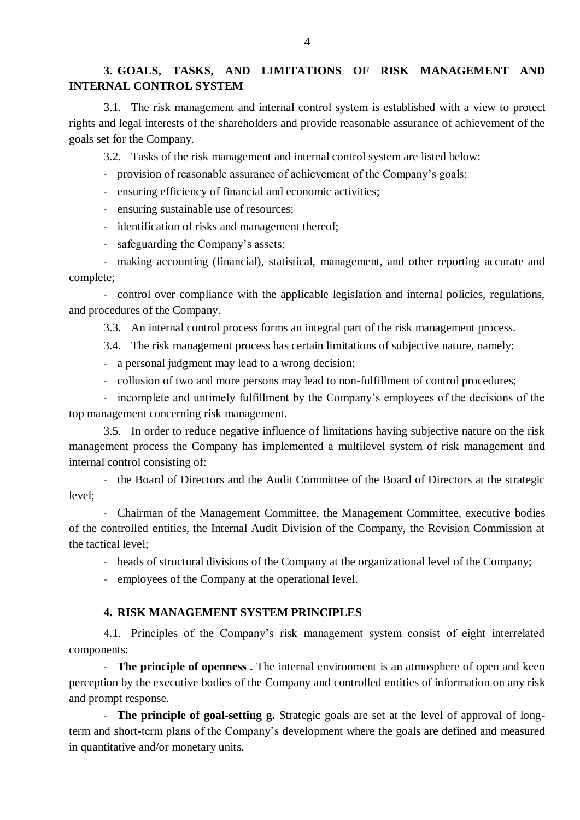## <span id="page-3-0"></span>**3. GOALS, TASKS, AND LIMITATIONS OF RISK MANAGEMENT AND INTERNAL CONTROL SYSTEM**

3.1. The risk management and internal control system is established with a view to protect rights and legal interests of the shareholders and provide reasonable assurance of achievement of the goals set for the Company.

3.2. Tasks of the risk management and internal control system are listed below:

- provision of reasonable assurance of achievement of the Company's goals;

- ensuring efficiency of financial and economic activities;

- ensuring sustainable use of resources;

- identification of risks and management thereof;

- safeguarding the Company's assets;

- making accounting (financial), statistical, management, and other reporting accurate and complete;

- control over compliance with the applicable legislation and internal policies, regulations, and procedures of the Company.

3.3. An internal control process forms an integral part of the risk management process.

3.4. The risk management process has certain limitations of subjective nature, namely:

- a personal judgment may lead to a wrong decision;

- collusion of two and more persons may lead to non-fulfillment of control procedures;

- incomplete and untimely fulfillment by the Company's employees of the decisions of the top management concerning risk management.

3.5. In order to reduce negative influence of limitations having subjective nature on the risk management process the Company has implemented a multilevel system of risk management and internal control consisting of:

- the Board of Directors and the Audit Committee of the Board of Directors at the strategic level;

- Chairman of the Management Committee, the Management Committee, executive bodies of the controlled entities, the Internal Audit Division of the Company, the Revision Commission at the tactical level;

- heads of structural divisions of the Company at the organizational level of the Company;

<span id="page-3-1"></span>- employees of the Company at the operational level.

#### **4. RISK MANAGEMENT SYSTEM PRINCIPLES**

4.1. Principles of the Company's risk management system consist of eight interrelated components:

- **The principle of openness .** The internal environment is an atmosphere of open and keen perception by the executive bodies of the Company and controlled entities of information on any risk and prompt response.

- **The principle of goal-setting g.** Strategic goals are set at the level of approval of longterm and short-term plans of the Company's development where the goals are defined and measured in quantitative and/or monetary units.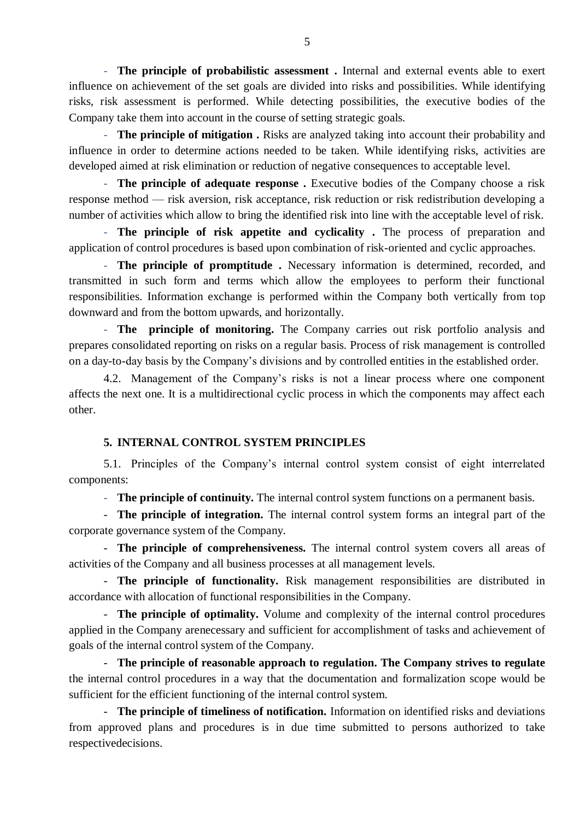- **The principle of probabilistic assessment .** Internal and external events able to exert influence on achievement of the set goals are divided into risks and possibilities. While identifying risks, risk assessment is performed. While detecting possibilities, the executive bodies of the Company take them into account in the course of setting strategic goals.

- **The principle of mitigation .** Risks are analyzed taking into account their probability and influence in order to determine actions needed to be taken. While identifying risks, activities are developed aimed at risk elimination or reduction of negative consequences to acceptable level.

- **The principle of adequate response .** Executive bodies of the Company choose a risk response method — risk aversion, risk acceptance, risk reduction or risk redistribution developing a number of activities which allow to bring the identified risk into line with the acceptable level of risk.

- **The principle of risk appetite and cyclicality .** The process of preparation and application of control procedures is based upon combination of risk-oriented and cyclic approaches.

- **The principle of promptitude .** Necessary information is determined, recorded, and transmitted in such form and terms which allow the employees to perform their functional responsibilities. Information exchange is performed within the Company both vertically from top downward and from the bottom upwards, and horizontally.

- **The principle of monitoring.** The Company carries out risk portfolio analysis and prepares consolidated reporting on risks on a regular basis. Process of risk management is controlled on a day-to-day basis by the Company's divisions and by controlled entities in the established order.

4.2. Management of the Company's risks is not a linear process where one component affects the next one. It is a multidirectional cyclic process in which the components may affect each other.

## **5. INTERNAL CONTROL SYSTEM PRINCIPLES**

<span id="page-4-0"></span>5.1. Principles of the Company's internal control system consist of eight interrelated components:

- **The principle of continuity.** The internal control system functions on a permanent basis.

- **The principle of integration.** The internal control system forms an integral part of the corporate governance system of the Company.

- **The principle of comprehensiveness.** The internal control system covers all areas of activities of the Company and all business processes at all management levels.

- **The principle of functionality.** Risk management responsibilities are distributed in accordance with allocation of functional responsibilities in the Company.

- **The principle of optimality.** Volume and complexity of the internal control procedures applied in the Company arenecessary and sufficient for accomplishment of tasks and achievement of goals of the internal control system of the Company.

- **The principle of reasonable approach to regulation. The Company strives to regulate**  the internal control procedures in a way that the documentation and formalization scope would be sufficient for the efficient functioning of the internal control system.

- **The principle of timeliness of notification.** Information on identified risks and deviations from approved plans and procedures is in due time submitted to persons authorized to take respectivedecisions.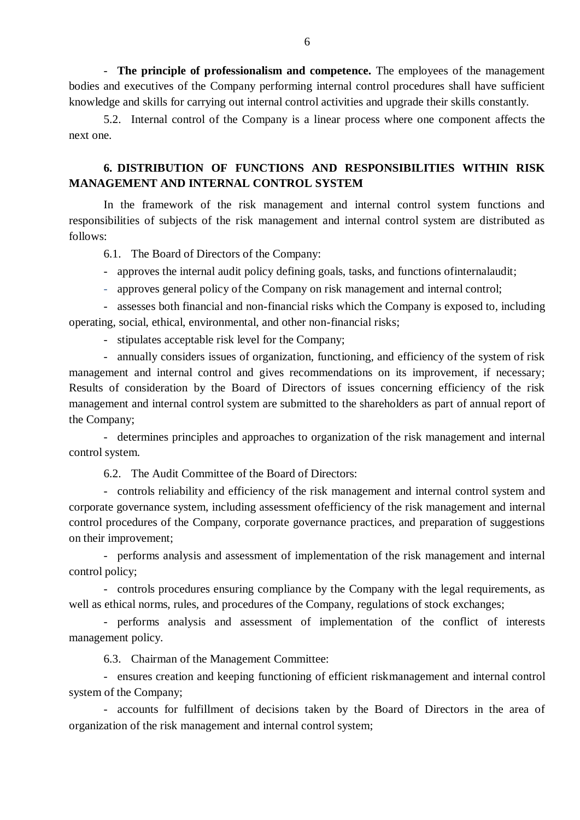- **The principle of professionalism and competence.** The employees of the management bodies and executives of the Company performing internal control procedures shall have sufficient knowledge and skills for carrying out internal control activities and upgrade their skills constantly.

5.2. Internal control of the Company is a linear process where one component affects the next one.

## <span id="page-5-0"></span>**6. DISTRIBUTION OF FUNCTIONS AND RESPONSIBILITIES WITHIN RISK MANAGEMENT AND INTERNAL CONTROL SYSTEM**

In the framework of the risk management and internal control system functions and responsibilities of subjects of the risk management and internal control system are distributed as follows:

6.1. The Board of Directors of the Company:

- approves the internal audit policy defining goals, tasks, and functions ofinternalaudit;
- approves general policy of the Company on risk management and internal control;

- assesses both financial and non-financial risks which the Company is exposed to, including operating, social, ethical, environmental, and other non-financial risks;

- stipulates acceptable risk level for the Company;

- annually considers issues of organization, functioning, and efficiency of the system of risk management and internal control and gives recommendations on its improvement, if necessary; Results of consideration by the Board of Directors of issues concerning efficiency of the risk management and internal control system are submitted to the shareholders as part of annual report of the Company;

- determines principles and approaches to organization of the risk management and internal control system.

6.2. The Audit Committee of the Board of Directors:

- controls reliability and efficiency of the risk management and internal control system and corporate governance system, including assessment ofefficiency of the risk management and internal control procedures of the Company, corporate governance practices, and preparation of suggestions on their improvement;

- performs analysis and assessment of implementation of the risk management and internal control policy;

- controls procedures ensuring compliance by the Company with the legal requirements, as well as ethical norms, rules, and procedures of the Company, regulations of stock exchanges;

- performs analysis and assessment of implementation of the conflict of interests management policy.

6.3. Chairman of the Management Committee:

- ensures creation and keeping functioning of efficient riskmanagement and internal control system of the Company;

- accounts for fulfillment of decisions taken by the Board of Directors in the area of organization of the risk management and internal control system;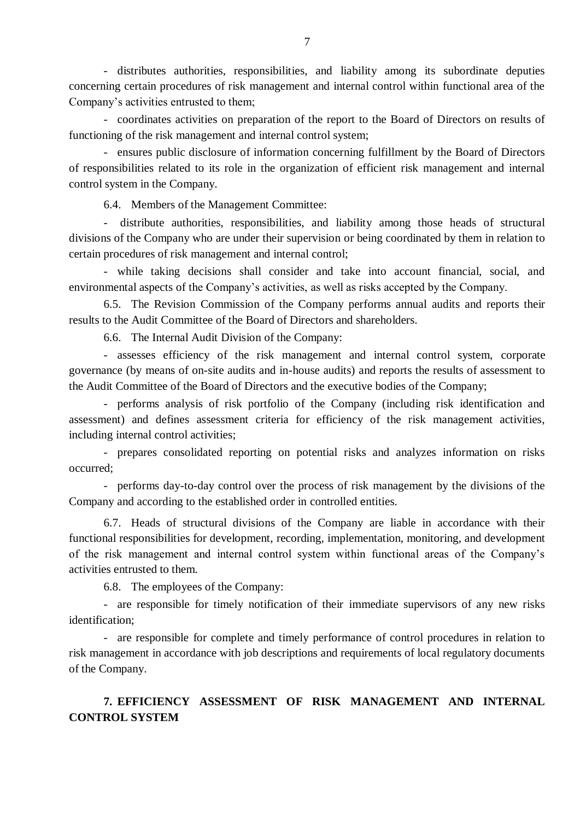- distributes authorities, responsibilities, and liability among its subordinate deputies concerning certain procedures of risk management and internal control within functional area of the Company's activities entrusted to them;

- coordinates activities on preparation of the report to the Board of Directors on results of functioning of the risk management and internal control system;

- ensures public disclosure of information concerning fulfillment by the Board of Directors of responsibilities related to its role in the organization of efficient risk management and internal control system in the Company.

6.4. Members of the Management Committee:

- distribute authorities, responsibilities, and liability among those heads of structural divisions of the Company who are under their supervision or being coordinated by them in relation to certain procedures of risk management and internal control;

- while taking decisions shall consider and take into account financial, social, and environmental aspects of the Company's activities, as well as risks accepted by the Company.

6.5. The Revision Commission of the Company performs annual audits and reports their results to the Audit Committee of the Board of Directors and shareholders.

6.6. The Internal Audit Division of the Company:

- assesses efficiency of the risk management and internal control system, corporate governance (by means of on-site audits and in-house audits) and reports the results of assessment to the Audit Committee of the Board of Directors and the executive bodies of the Company;

- performs analysis of risk portfolio of the Company (including risk identification and assessment) and defines assessment criteria for efficiency of the risk management activities, including internal control activities;

- prepares consolidated reporting on potential risks and analyzes information on risks occurred;

- performs day-to-day control over the process of risk management by the divisions of the Company and according to the established order in controlled entities.

6.7. Heads of structural divisions of the Company are liable in accordance with their functional responsibilities for development, recording, implementation, monitoring, and development of the risk management and internal control system within functional areas of the Company's activities entrusted to them.

6.8. The employees of the Company:

- are responsible for timely notification of their immediate supervisors of any new risks identification;

- are responsible for complete and timely performance of control procedures in relation to risk management in accordance with job descriptions and requirements of local regulatory documents of the Company.

# <span id="page-6-0"></span>**7. EFFICIENCY ASSESSMENT OF RISK MANAGEMENT AND INTERNAL CONTROL SYSTEM**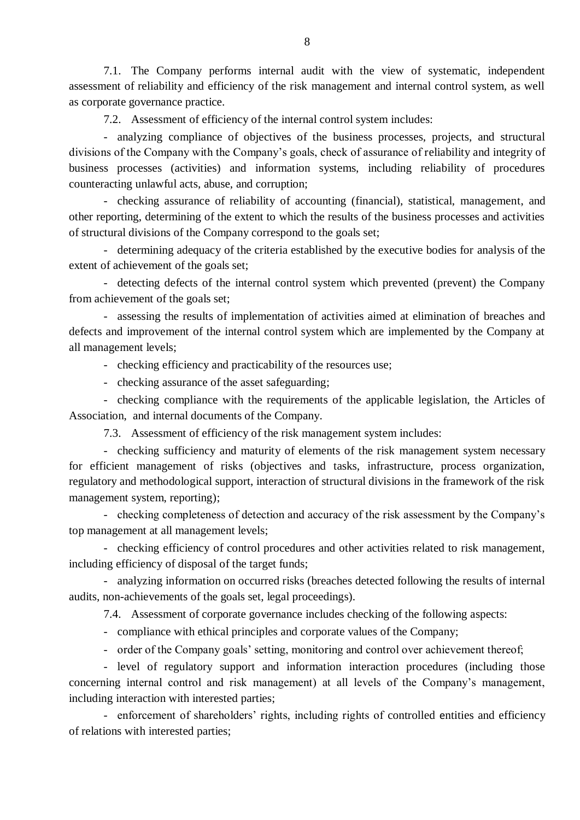7.1. The Company performs internal audit with the view of systematic, independent assessment of reliability and efficiency of the risk management and internal control system, as well as corporate governance practice.

7.2. Assessment of efficiency of the internal control system includes:

- analyzing compliance of objectives of the business processes, projects, and structural divisions of the Company with the Company's goals, check of assurance of reliability and integrity of business processes (activities) and information systems, including reliability of procedures counteracting unlawful acts, abuse, and corruption;

- checking assurance of reliability of accounting (financial), statistical, management, and other reporting, determining of the extent to which the results of the business processes and activities of structural divisions of the Company correspond to the goals set;

- determining adequacy of the criteria established by the executive bodies for analysis of the extent of achievement of the goals set;

- detecting defects of the internal control system which prevented (prevent) the Company from achievement of the goals set;

- assessing the results of implementation of activities aimed at elimination of breaches and defects and improvement of the internal control system which are implemented by the Company at all management levels;

- checking efficiency and practicability of the resources use;

- checking assurance of the asset safeguarding;

- checking compliance with the requirements of the applicable legislation, the Articles of Association, and internal documents of the Company.

7.3. Assessment of efficiency of the risk management system includes:

- checking sufficiency and maturity of elements of the risk management system necessary for efficient management of risks (objectives and tasks, infrastructure, process organization, regulatory and methodological support, interaction of structural divisions in the framework of the risk management system, reporting);

- checking completeness of detection and accuracy of the risk assessment by the Company's top management at all management levels;

- checking efficiency of control procedures and other activities related to risk management, including efficiency of disposal of the target funds;

- analyzing information on occurred risks (breaches detected following the results of internal audits, non-achievements of the goals set, legal proceedings).

7.4. Assessment of corporate governance includes checking of the following aspects:

- compliance with ethical principles and corporate values of the Company;

- order of the Company goals' setting, monitoring and control over achievement thereof;

- level of regulatory support and information interaction procedures (including those concerning internal control and risk management) at all levels of the Company's management, including interaction with interested parties;

- enforcement of shareholders' rights, including rights of controlled entities and efficiency of relations with interested parties;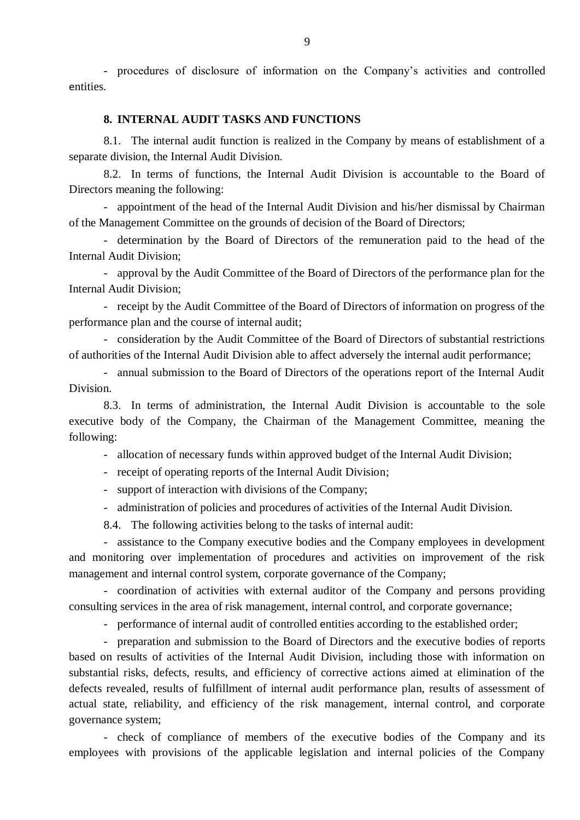<span id="page-8-0"></span>- procedures of disclosure of information on the Company's activities and controlled entities.

#### **8. INTERNAL AUDIT TASKS AND FUNCTIONS**

8.1. The internal audit function is realized in the Company by means of establishment of a separate division, the Internal Audit Division.

8.2. In terms of functions, the Internal Audit Division is accountable to the Board of Directors meaning the following:

- appointment of the head of the Internal Audit Division and his/her dismissal by Chairman of the Management Committee on the grounds of decision of the Board of Directors;

- determination by the Board of Directors of the remuneration paid to the head of the Internal Audit Division;

- approval by the Audit Committee of the Board of Directors of the performance plan for the Internal Audit Division;

- receipt by the Audit Committee of the Board of Directors of information on progress of the performance plan and the course of internal audit;

- consideration by the Audit Committee of the Board of Directors of substantial restrictions of authorities of the Internal Audit Division able to affect adversely the internal audit performance;

- annual submission to the Board of Directors of the operations report of the Internal Audit Division.

8.3. In terms of administration, the Internal Audit Division is accountable to the sole executive body of the Company, the Chairman of the Management Committee, meaning the following:

- allocation of necessary funds within approved budget of the Internal Audit Division;

- receipt of operating reports of the Internal Audit Division;

- support of interaction with divisions of the Company;

- administration of policies and procedures of activities of the Internal Audit Division.

8.4. The following activities belong to the tasks of internal audit:

- assistance to the Company executive bodies and the Company employees in development and monitoring over implementation of procedures and activities on improvement of the risk management and internal control system, corporate governance of the Company;

- coordination of activities with external auditor of the Company and persons providing consulting services in the area of risk management, internal control, and corporate governance;

- performance of internal audit of controlled entities according to the established order;

- preparation and submission to the Board of Directors and the executive bodies of reports based on results of activities of the Internal Audit Division, including those with information on substantial risks, defects, results, and efficiency of corrective actions aimed at elimination of the defects revealed, results of fulfillment of internal audit performance plan, results of assessment of actual state, reliability, and efficiency of the risk management, internal control, and corporate governance system;

- check of compliance of members of the executive bodies of the Company and its employees with provisions of the applicable legislation and internal policies of the Company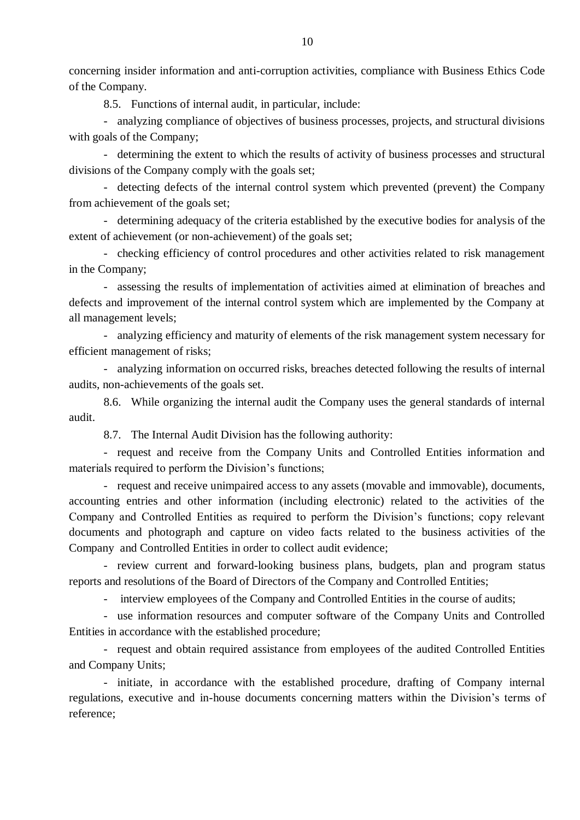concerning insider information and anti-corruption activities, compliance with Business Ethics Code of the Company.

8.5. Functions of internal audit, in particular, include:

- analyzing compliance of objectives of business processes, projects, and structural divisions with goals of the Company;

- determining the extent to which the results of activity of business processes and structural divisions of the Company comply with the goals set;

- detecting defects of the internal control system which prevented (prevent) the Company from achievement of the goals set;

- determining adequacy of the criteria established by the executive bodies for analysis of the extent of achievement (or non-achievement) of the goals set;

- checking efficiency of control procedures and other activities related to risk management in the Company;

- assessing the results of implementation of activities aimed at elimination of breaches and defects and improvement of the internal control system which are implemented by the Company at all management levels;

- analyzing efficiency and maturity of elements of the risk management system necessary for efficient management of risks;

- analyzing information on occurred risks, breaches detected following the results of internal audits, non-achievements of the goals set.

8.6. While organizing the internal audit the Company uses the general standards of internal audit.

8.7. The Internal Audit Division has the following authority:

- request and receive from the Company Units and Controlled Entities information and materials required to perform the Division's functions;

- request and receive unimpaired access to any assets (movable and immovable), documents, accounting entries and other information (including electronic) related to the activities of the Company and Controlled Entities as required to perform the Division's functions; copy relevant documents and photograph and capture on video facts related to the business activities of the Company and Controlled Entities in order to collect audit evidence;

- review current and forward-looking business plans, budgets, plan and program status reports and resolutions of the Board of Directors of the Company and Controlled Entities;

- interview employees of the Company and Controlled Entities in the course of audits;

- use information resources and computer software of the Company Units and Controlled Entities in accordance with the established procedure;

- request and obtain required assistance from employees of the audited Controlled Entities and Company Units;

- initiate, in accordance with the established procedure, drafting of Company internal regulations, executive and in-house documents concerning matters within the Division's terms of reference;